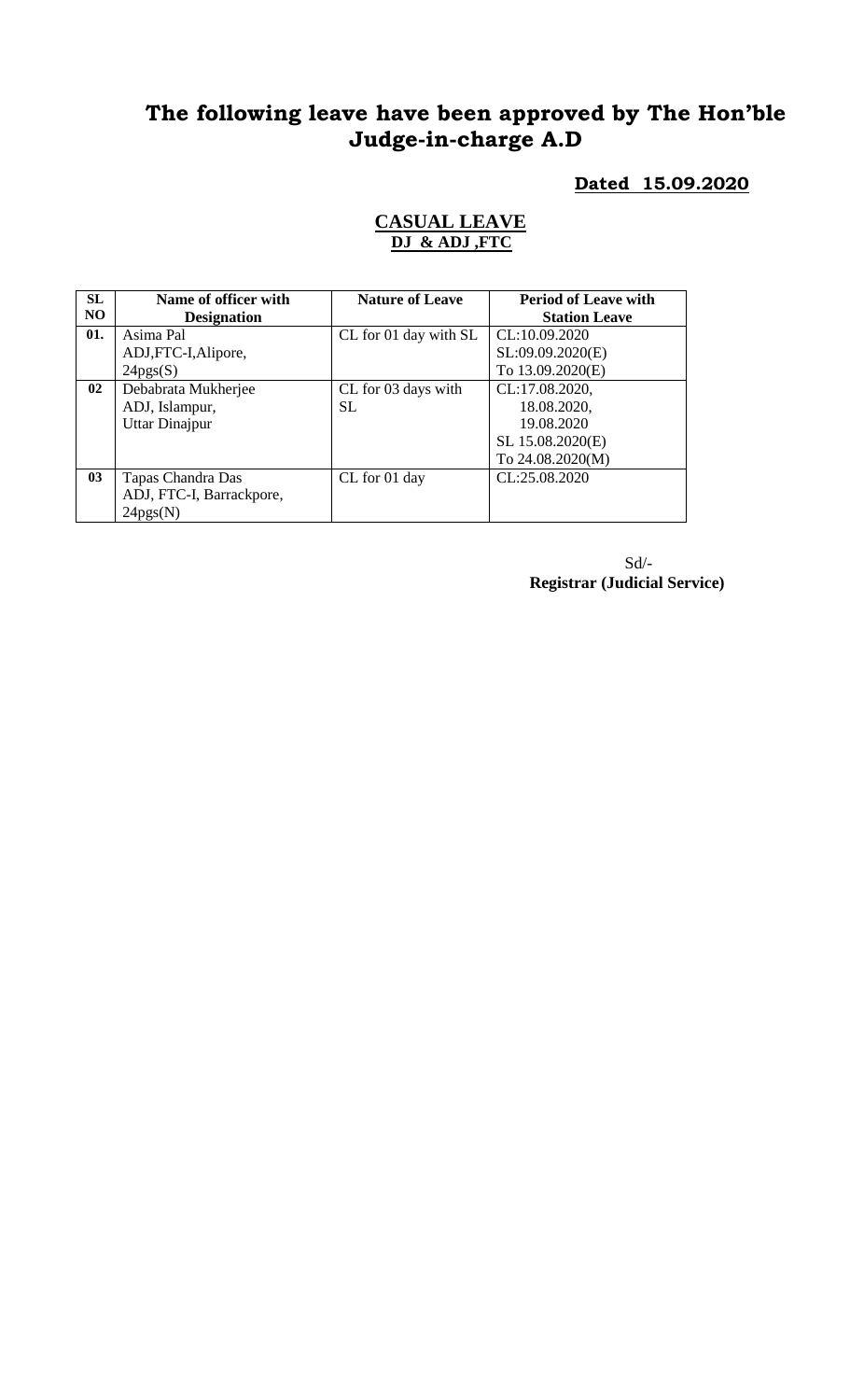# **The following leave have been approved by The Hon'ble Judge-in-charge A.D**

### **Dated 15.09.2020**

#### **CASUAL LEAVE DJ & ADJ ,FTC**

| SL             | Name of officer with     | <b>Nature of Leave</b> | <b>Period of Leave with</b> |
|----------------|--------------------------|------------------------|-----------------------------|
| N <sub>O</sub> | <b>Designation</b>       |                        | <b>Station Leave</b>        |
| 01.            | Asima Pal                | CL for 01 day with SL  | CL:10.09.2020               |
|                | ADJ, FTC-I, Alipore,     |                        | SL:09.09.2020(E)            |
|                | 24pgs(S)                 |                        | To 13.09.2020(E)            |
| 02             | Debabrata Mukherjee      | CL for 03 days with    | CL:17.08.2020,              |
|                | ADJ, Islampur,           | <b>SL</b>              | 18.08.2020,                 |
|                | <b>Uttar Dinajpur</b>    |                        | 19.08.2020                  |
|                |                          |                        | SL 15.08.2020(E)            |
|                |                          |                        | To 24.08.2020(M)            |
| 0 <sub>3</sub> | Tapas Chandra Das        | CL for 01 day          | CL:25.08.2020               |
|                | ADJ, FTC-I, Barrackpore, |                        |                             |
|                | 24pgs(N)                 |                        |                             |

Sd/- **Registrar (Judicial Service)**